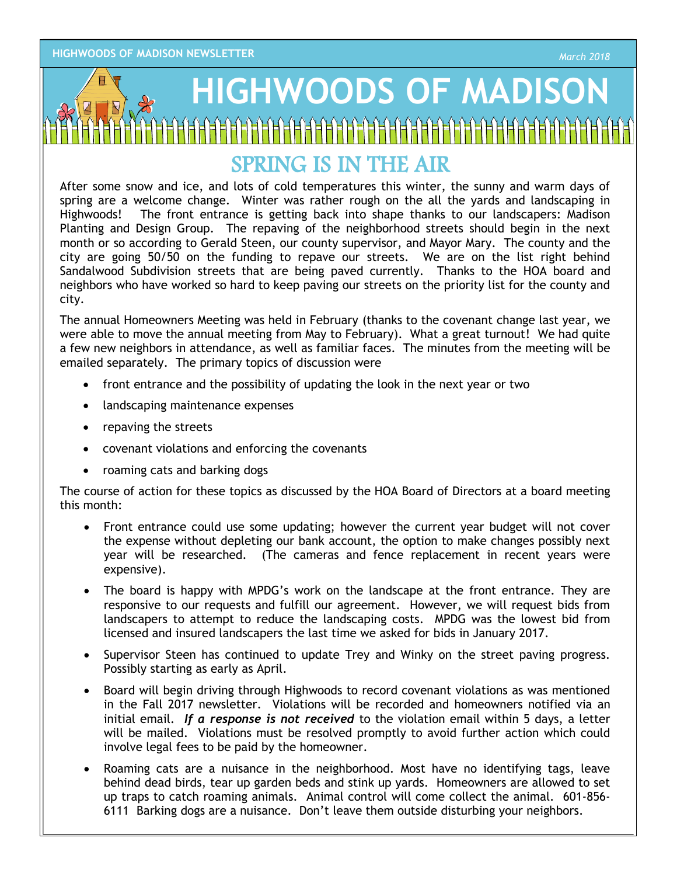## **PAGE 2HIGHWOODS OF MADISON** `={={={={={={={-{-{-{-{-{-{-{-{-{-}}}}}}

## SPRING IS IN THE AIR

After some snow and ice, and lots of cold temperatures this winter, the sunny and warm days of spring are a welcome change. Winter was rather rough on the all the yards and landscaping in Highwoods! The front entrance is getting back into shape thanks to our landscapers: Madison Planting and Design Group. The repaving of the neighborhood streets should begin in the next month or so according to Gerald Steen, our county supervisor, and Mayor Mary. The county and the city are going 50/50 on the funding to repave our streets. We are on the list right behind Sandalwood Subdivision streets that are being paved currently. Thanks to the HOA board and neighbors who have worked so hard to keep paving our streets on the priority list for the county and city.

The annual Homeowners Meeting was held in February (thanks to the covenant change last year, we were able to move the annual meeting from May to February). What a great turnout! We had quite a few new neighbors in attendance, as well as familiar faces. The minutes from the meeting will be emailed separately. The primary topics of discussion were

- front entrance and the possibility of updating the look in the next year or two
- landscaping maintenance expenses
- repaving the streets
- covenant violations and enforcing the covenants
- roaming cats and barking dogs

The course of action for these topics as discussed by the HOA Board of Directors at a board meeting this month:

- Front entrance could use some updating; however the current year budget will not cover the expense without depleting our bank account, the option to make changes possibly next year will be researched. (The cameras and fence replacement in recent years were expensive).
- The board is happy with MPDG's work on the landscape at the front entrance. They are responsive to our requests and fulfill our agreement. However, we will request bids from landscapers to attempt to reduce the landscaping costs. MPDG was the lowest bid from licensed and insured landscapers the last time we asked for bids in January 2017.
- Supervisor Steen has continued to update Trey and Winky on the street paving progress. Possibly starting as early as April.
- Board will begin driving through Highwoods to record covenant violations as was mentioned in the Fall 2017 newsletter. Violations will be recorded and homeowners notified via an initial email. *If a response is not received* to the violation email within 5 days, a letter will be mailed. Violations must be resolved promptly to avoid further action which could involve legal fees to be paid by the homeowner.
- Roaming cats are a nuisance in the neighborhood. Most have no identifying tags, leave behind dead birds, tear up garden beds and stink up yards. Homeowners are allowed to set up traps to catch roaming animals. Animal control will come collect the animal. 601-856- 6111 Barking dogs are a nuisance. Don't leave them outside disturbing your neighbors.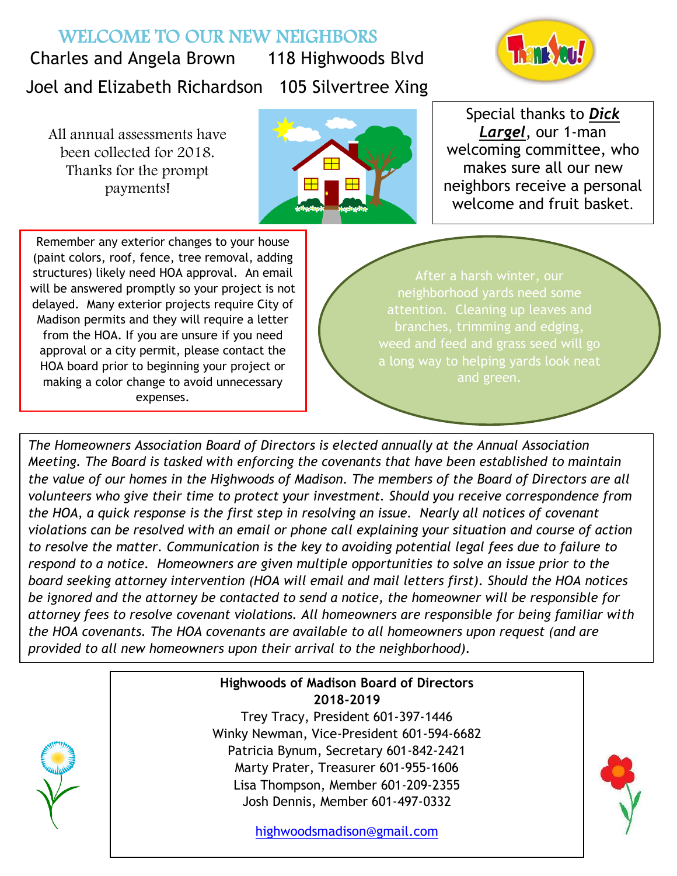## WELCOME TO OUR NEW NEIGHBORS

Charles and Angela Brown 118 Highwoods Blvd Joel and Elizabeth Richardson 105 Silvertree Xing



All annual assessments have been collected for 2018. Thanks for the prompt payments!



Special thanks to *Dick Largel*, our 1-man welcoming committee, who makes sure all our new neighbors receive a personal welcome and fruit basket.

Remember any exterior changes to your house (paint colors, roof, fence, tree removal, adding structures) likely need HOA approval. An email will be answered promptly so your project is not delayed. Many exterior projects require City of Madison permits and they will require a letter from the HOA. If you are unsure if you need approval or a city permit, please contact the HOA board prior to beginning your project or making a color change to avoid unnecessary expenses.

After a harsh winter, our neighborhood yards need some branches, trimming and edging, and green.

*The Homeowners Association Board of Directors is elected annually at the Annual Association Meeting. The Board is tasked with enforcing the covenants that have been established to maintain the value of our homes in the Highwoods of Madison. The members of the Board of Directors are all volunteers who give their time to protect your investment. Should you receive correspondence from the HOA, a quick response is the first step in resolving an issue. Nearly all notices of covenant violations can be resolved with an email or phone call explaining your situation and course of action to resolve the matter. Communication is the key to avoiding potential legal fees due to failure to respond to a notice. Homeowners are given multiple opportunities to solve an issue prior to the board seeking attorney intervention (HOA will email and mail letters first). Should the HOA notices be ignored and the attorney be contacted to send a notice, the homeowner will be responsible for attorney fees to resolve covenant violations. All homeowners are responsible for being familiar with the HOA covenants. The HOA covenants are available to all homeowners upon request (and are provided to all new homeowners upon their arrival to the neighborhood).*



Winky Newman, Vice-President 601-594-6682 Patricia Bynum, Secretary 601-842-2421 Marty Prater, Treasurer 601-955-1606 Lisa Thompson, Member 601-209-2355 Josh Dennis, Member 601-497-0332

[highwoodsmadison@gmail.com](mailto:highwoodsmadison@gmail.com)